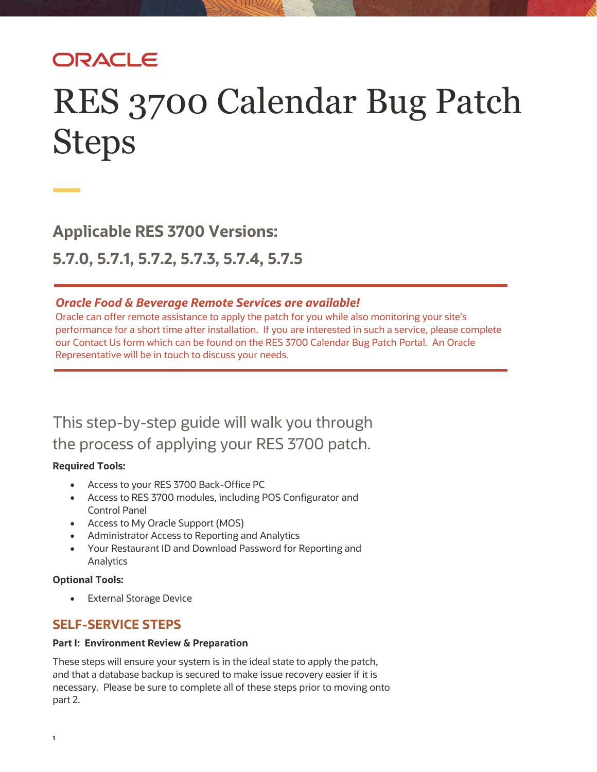## ORACLE

# RES 3700 Calendar Bug Patch Steps

**Applicable RES 3700 Versions:** 

**5.7.0, 5.7.1, 5.7.2, 5.7.3, 5.7.4, 5.7.5**

#### *Oracle Food & Beverage Remote Services are available!*

Oracle can offer remote assistance to apply the patch for you while also monitoring your site's performance for a short time after installation. If you are interested in such a service, please complete our Contact Us form which can be found on the RES 3700 Calendar Bug Patch Portal. An Oracle Representative will be in touch to discuss your needs.

This step-by-step guide will walk you through the process of applying your RES 3700 patch.

#### **Required Tools:**

- Access to your RES 3700 Back-Office PC
- Access to RES 3700 modules, including POS Configurator and Control Panel
- Access to My Oracle Support (MOS)
- Administrator Access to Reporting and Analytics
- Your Restaurant ID and Download Password for Reporting and Analytics

#### **Optional Tools:**

• External Storage Device

### **SELF-SERVICE STEPS**

#### **Part I: Environment Review & Preparation**

These steps will ensure your system is in the ideal state to apply the patch, and that a database backup is secured to make issue recovery easier if it is necessary. Please be sure to complete all of these steps prior to moving onto part 2.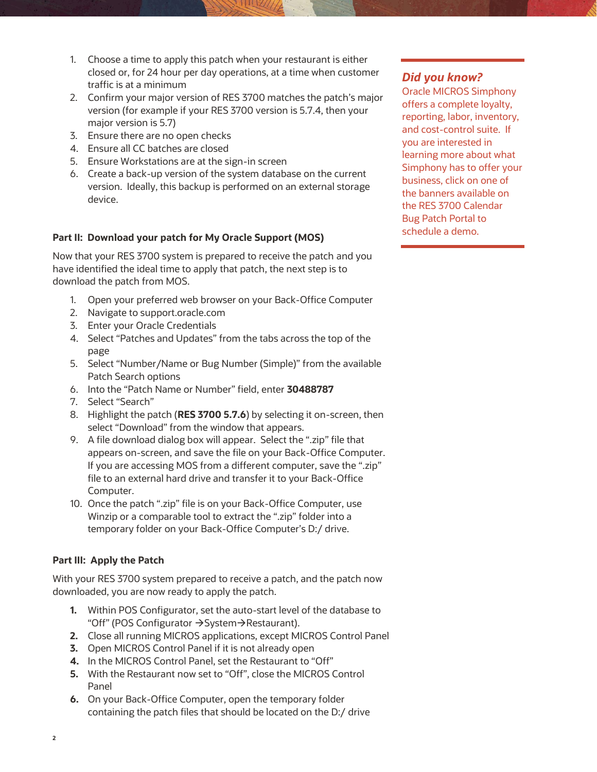- 1. Choose a time to apply this patch when your restaurant is either closed or, for 24 hour per day operations, at a time when customer traffic is at a minimum
- 2. Confirm your major version of RES 3700 matches the patch's major version (for example if your RES 3700 version is 5.7.4, then your major version is 5.7)
- 3. Ensure there are no open checks
- 4. Ensure all CC batches are closed
- 5. Ensure Workstations are at the sign-in screen
- 6. Create a back-up version of the system database on the current version. Ideally, this backup is performed on an external storage device.

#### **Part II: Download your patch for My Oracle Support (MOS)**

Now that your RES 3700 system is prepared to receive the patch and you have identified the ideal time to apply that patch, the next step is to download the patch from MOS.

- 1. Open your preferred web browser on your Back-Office Computer
- 2. Navigate to support.oracle.com
- 3. Enter your Oracle Credentials
- 4. Select "Patches and Updates" from the tabs across the top of the page
- 5. Select "Number/Name or Bug Number (Simple)" from the available Patch Search options
- 6. Into the "Patch Name or Number" field, enter **30488787**
- 7. Select "Search"
- 8. Highlight the patch (**RES 3700 5.7.6**) by selecting it on-screen, then select "Download" from the window that appears.
- 9. A file download dialog box will appear. Select the ".zip" file that appears on-screen, and save the file on your Back-Office Computer. If you are accessing MOS from a different computer, save the ".zip" file to an external hard drive and transfer it to your Back-Office Computer.
- 10. Once the patch ".zip" file is on your Back-Office Computer, use Winzip or a comparable tool to extract the ".zip" folder into a temporary folder on your Back-Office Computer's D:/ drive.

#### **Part III: Apply the Patch**

With your RES 3700 system prepared to receive a patch, and the patch now downloaded, you are now ready to apply the patch.

- **1.** Within POS Configurator, set the auto-start level of the database to "Off" (POS Configurator →System→Restaurant).
- **2.** Close all running MICROS applications, except MICROS Control Panel
- **3.** Open MICROS Control Panel if it is not already open
- **4.** In the MICROS Control Panel, set the Restaurant to "Off"
- **5.** With the Restaurant now set to "Off", close the MICROS Control Panel
- **6.** On your Back-Office Computer, open the temporary folder containing the patch files that should be located on the D:/ drive

#### *Did you know?*

Oracle MICROS Simphony offers a complete loyalty, reporting, labor, inventory, and cost-control suite. If you are interested in learning more about what Simphony has to offer your business, click on one of the banners available on the RES 3700 Calendar Bug Patch Portal to schedule a demo.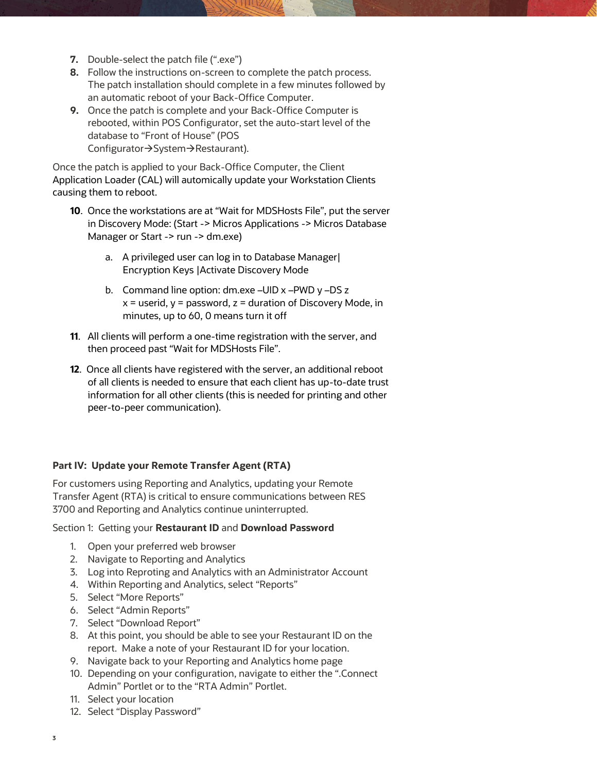- **7.** Double-select the patch file (".exe")
- **8.** Follow the instructions on-screen to complete the patch process. The patch installation should complete in a few minutes followed by an automatic reboot of your Back-Office Computer.
- **9.** Once the patch is complete and your Back-Office Computer is rebooted, within POS Configurator, set the auto-start level of the database to "Front of House" (POS Configurator→System→Restaurant).

Once the patch is applied to your Back-Office Computer, the Client Application Loader (CAL) will automically update your Workstation Clients causing them to reboot.

- **10**. Once the workstations are at "Wait for MDSHosts File", put the server in Discovery Mode: (Start -> Micros Applications -> Micros Database Manager or Start -> run -> dm.exe)
	- a. A privileged user can log in to Database Manager| Encryption Keys |Activate Discovery Mode
	- b. Command line option: dm.exe –UID x –PWD y –DS z  $x =$  userid,  $y =$  password,  $z =$  duration of Discovery Mode, in minutes, up to 60, 0 means turn it off
- **11**. All clients will perform a one-time registration with the server, and then proceed past "Wait for MDSHosts File".
- **12**. Once all clients have registered with the server, an additional reboot of all clients is needed to ensure that each client has up-to-date trust information for all other clients (this is needed for printing and other peer-to-peer communication).

#### **Part IV: Update your Remote Transfer Agent (RTA)**

For customers using Reporting and Analytics, updating your Remote Transfer Agent (RTA) is critical to ensure communications between RES 3700 and Reporting and Analytics continue uninterrupted.

#### Section 1: Getting your **Restaurant ID** and **Download Password**

- 1. Open your preferred web browser
- 2. Navigate to Reporting and Analytics
- 3. Log into Reproting and Analytics with an Administrator Account
- 4. Within Reporting and Analytics, select "Reports"
- 5. Select "More Reports"
- 6. Select "Admin Reports"
- 7. Select "Download Report"
- 8. At this point, you should be able to see your Restaurant ID on the report. Make a note of your Restaurant ID for your location.
- 9. Navigate back to your Reporting and Analytics home page
- 10. Depending on your configuration, navigate to either the ".Connect Admin" Portlet or to the "RTA Admin" Portlet.
- 11. Select your location
- 12. Select "Display Password"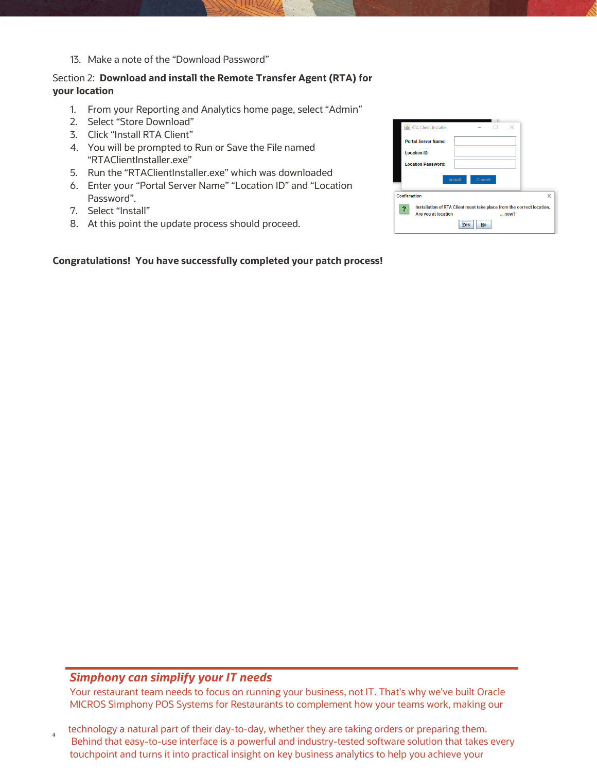13. Make a note of the "Download Password"

#### Section 2: **Download and install the Remote Transfer Agent (RTA) for your location**

- 1. From your Reporting and Analytics home page, select "Admin"
- 2. Select "Store Download"
- 3. Click "Install RTA Client"
- 4. You will be prompted to Run or Save the File named "RTAClientInstaller.exe"
- 5. Run the "RTAClientInstaller.exe" which was downloaded
- 6. Enter your "Portal Server Name" "Location ID" and "Location Password".
- 7. Select "Install"
- 8. At this point the update process should proceed.

#### **Congratulations! You have successfully completed your patch process!**

| <b>&amp; RTA Client Installer</b>                                                                    | $\times$<br>п<br>$-$     |
|------------------------------------------------------------------------------------------------------|--------------------------|
| <b>Portal Server Name:</b>                                                                           |                          |
| <b>Location ID:</b>                                                                                  |                          |
| <b>Location Password:</b>                                                                            |                          |
|                                                                                                      | Cancel<br><b>Install</b> |
| Confirmation                                                                                         | ×                        |
| Installation of RTA Client must take place from the correct location.<br>Are you at location<br>now? |                          |
| Yes<br><b>No</b>                                                                                     |                          |

#### *Simphony can simplify your IT needs*

**4**

Your restaurant team needs to focus on running your business, not IT. That's why we've built Oracle MICROS Simphony POS Systems for Restaurants to complement how your teams work, making our

technology a natural part of their day-to-day, whether they are taking orders or preparing them. Behind that easy-to-use interface is a powerful and industry-tested software solution that takes every touchpoint and turns it into practical insight on key business analytics to help you achieve your